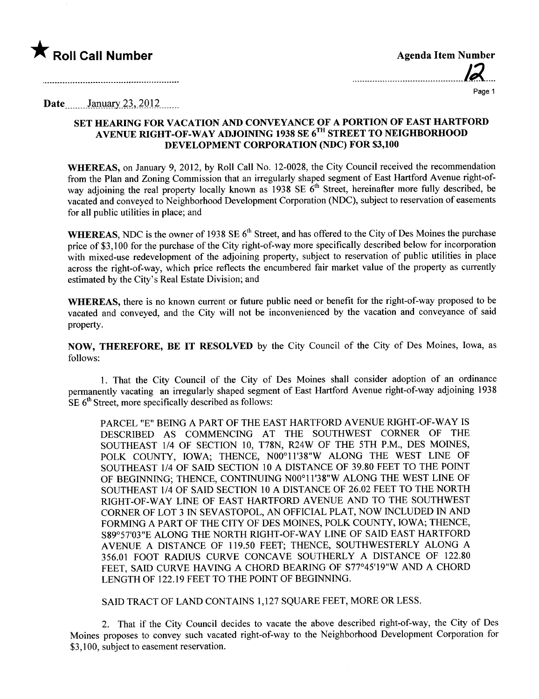

| <b>Agenda Item Number</b> |    |
|---------------------------|----|
|                           | 12 |
| .                         |    |

Page 1

Date... January  $23, 2012$ ......

## SET HEARING FOR VACATION AND CONVEYANCE OF A PORTION OF EAST HARTFORD AVENUE RIGHT-OF-WAY ADJOINING 1938 SE 6TH STREET TO NEIGHBORHOOD DEVELOPMENT CORPORATION (NDC) FOR \$3,100

WHEREAS, on January 9, 2012, by Roll Call No. 12-0028, the City Council received the recommendation from the Plan and Zoning Commission that an irregularly shaped segment of East Hartford Avenue right-ofway adjoining the real property locally known as  $1938 \text{ SE } 6^{\text{th}}$  Street, hereinafter more fully described, be vacated and conveyed to Neighborhood Development Corporation (NDC), subject to reservation of easements for all public utilties in place; and

WHEREAS, NDC is the owner of 1938 SE  $6<sup>th</sup>$  Street, and has offered to the City of Des Moines the purchase price of \$3,100 for the purchase of the City right-of-way more specifically described below for incorporation with mixed-use redevelopment of the adjoining property, subject to reservation of public utilities in place across the right-of-way, which price reflects the encumbered fair market value of the property as currently estimated by the City's Real Estate Division; and

WHEREAS, there is no known current or future public need or benefit for the right-of-way proposed to be vacated and conveyed, and the City will not be inconvenienced by the vacation and conveyance of said property.

NOW, THEREFORE, BE IT RESOLVED by the City Council of the City of Des Moines, Iowa, as follows:

1. That the City Council of the City of Des Moines shall consider adoption of an ordinance permanently vacating an irregularly shaped segment of East Hartford Avenue right-of-way adjoining 1938  $SE 6<sup>th</sup> Street$ , more specifically described as follows:

PARCEL "E" BEING A PART OF THE EAST HARTFORD AVENUE RIGHT-OF-WAY IS DESCRIBED AS COMMENCING AT THE SOUTHWEST CORNER OF THE SOUTHEAST 1/4 OF SECTION 10, T78N, R24W OF THE 5TH P.M., DES MOINES, POLK COUNTY, IOWA; THENCE, N00°11'38"W ALONG THE WEST LINE OF SOUTHEAST 1/4 OF SAID SECTION 10 A DISTANCE OF 39.80 FEET TO THE POINT OF BEGINNING; THENCE, CONTINUING N00°11'38"W ALONG THE WEST LINE OF SOUTHEAST 1/4 OF SAID SECTION 10 A DISTANCE OF 26.02 FEET TO THE NORTH RIGHT-OF-WAY LINE OF EAST HARTFORD AVENUE AND TO THE SOUTHWEST CORNER OF LOT 3 IN SEV ASTOPOL, AN OFFICIAL PLAT, NOW INCLUDED IN AND FORMING A PART OF THE CITY OF DES MOINES, POLK COUNTY, IOWA; THENCE, S89°57'03"E ALONG THE NORTH RIGHT-OF-WAY LINE OF SAID EAST HARTFORD AVENUE A DISTANCE OF 119.50 FEET; THENCE, SOUTHWESTERLY ALONG A 356.01 FOOT RADIUS CURVE CONCAVE SOUTHERLY A DISTANCE OF 122.80 FEET, SAID CURVE HAVING A CHORD BEARING OF S77°45'19"W AND A CHORD LENGTH OF 122.19 FEET TO THE POINT OF BEGINNING.

SAID TRACT OF LAND CONTAINS 1,127 SQUARE FEET, MORE OR LESS.

2. That if the City Council decides to vacate the above described right-of-way, the City of Des Moines proposes to convey such vacated right-of-way to the Neighborhood Development Corporation for \$3,100, subject to easement reservation.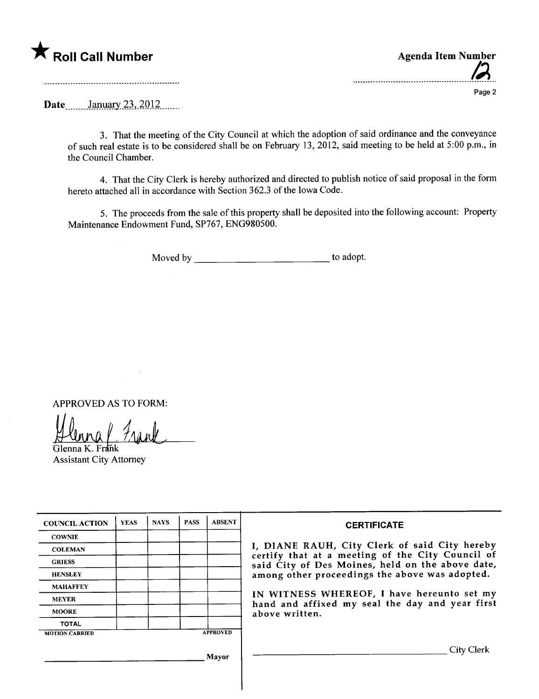

|  | <b>Agenda Item Number</b><br>$\overline{M}$ |
|--|---------------------------------------------|
|  | Page 2                                      |

Date *\_\_\_\_\_\_* January 23, 2012 \_\_\_\_\_

3. That the meeting of the City Council at which the adoption of said ordinance and the conveyance of such real estate is to be considered shall be on February 13,2012, said meeting to be held at 5:00 p.m., in the Council Chamber.

4. That the City Clerk is hereby authorized and directed to publish notice of said proposal in the form hereto attached all in accordance with Section 362.3 of the Iowa Code.

5. The proceeds from the sale of this property shall be deposited into the following account: Property Maintenance Endowment Fund, SP767, ENG980500.

Moved by to adopt.

APPROVED AS TO FORM:

Glenna K. Frank

 $\bar{\lambda}$ 

Assistant City Attorney

| <b>COUNCIL ACTION</b> | <b>YEAS</b> | <b>NAYS</b> | <b>PASS</b> | <b>ABSENT</b>   | <b>CERTIFICATE</b>                                                                                |
|-----------------------|-------------|-------------|-------------|-----------------|---------------------------------------------------------------------------------------------------|
| <b>COWNIE</b>         |             |             |             |                 |                                                                                                   |
| <b>COLEMAN</b>        |             |             |             |                 | I, DIANE RAUH, City Clerk of said City hereby<br>certify that at a meeting of the City Council of |
| <b>GRIESS</b>         |             |             |             |                 | said City of Des Moines, held on the above date,                                                  |
| <b>HENSLEY</b>        |             |             |             |                 | among other proceedings the above was adopted.                                                    |
| <b>MAHAFFEY</b>       |             |             |             |                 |                                                                                                   |
| <b>MEYER</b>          |             |             |             |                 | IN WITNESS WHEREOF, I have hereunto set my<br>hand and affixed my seal the day and year first     |
| <b>MOORE</b>          |             |             |             |                 | above written.                                                                                    |
| <b>TOTAL</b>          |             |             |             |                 |                                                                                                   |
| <b>MOTION CARRIED</b> |             |             |             | <b>APPROVED</b> |                                                                                                   |
|                       |             |             |             | Mavor           | City Clerk                                                                                        |